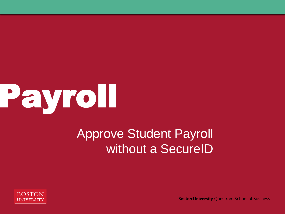

### Approve Student Payroll without a SecureID



**Boston University Questrom School of Business**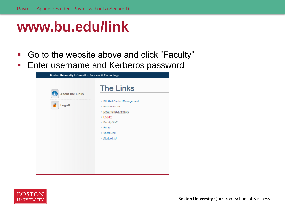### **www.bu.edu/link**

- Go to the website above and click "Faculty"
- **Enter username and Kerberos password**

| Boston University Information Services & Technology |                                                                                                                                                                             |  |  |  |  |  |
|-----------------------------------------------------|-----------------------------------------------------------------------------------------------------------------------------------------------------------------------------|--|--|--|--|--|
| <b>About the Links</b>                              | <b>The Links</b>                                                                                                                                                            |  |  |  |  |  |
| A<br>Logoff                                         | <b>BU Alert Contact Management</b><br><b>Business Link</b><br>Document ESignature<br>$=$ Faculty<br>Faculty/Staff<br>$=$ Prime<br>$\blacksquare$ ShareLink<br>■ StudentLink |  |  |  |  |  |
|                                                     |                                                                                                                                                                             |  |  |  |  |  |

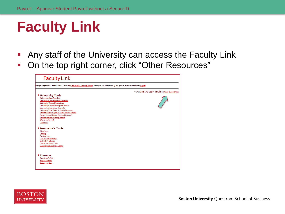# **Faculty Link**

- Any staff of the University can access the Faculty Link
- On the top right corner, click "Other Resources"

| <b>Faculty Link</b>                                                                                                                                                                                                                                                                                                                                                                                                                                                                                                         |                                          |
|-----------------------------------------------------------------------------------------------------------------------------------------------------------------------------------------------------------------------------------------------------------------------------------------------------------------------------------------------------------------------------------------------------------------------------------------------------------------------------------------------------------------------------|------------------------------------------|
| are agreeing to abide by the Boston University Information Security Policy. When you are finished using the system, please remember to Logoff.                                                                                                                                                                                                                                                                                                                                                                              |                                          |
|                                                                                                                                                                                                                                                                                                                                                                                                                                                                                                                             | View: Instructor Tools   Other Resources |
| <b><i>*</i></b> University Tools<br><b>University Class Schedule</b><br>University Class Schedule Download<br><b>University Course Descriptions</b><br><b>University Course Description Search</b><br>University Final Exam Schedule<br>University Final Exam Schedule Download<br>Faculty Annual Report (Charles River Campus)<br>Faculty Annual Report (Medical Campus)<br><b>Faculty External Activity Report</b><br>What's on the Link<br>Calendars<br><sup>•</sup> Instructor's Tools<br><b>Class Lists</b><br>Grading |                                          |
| <b>Advisee List</b><br><b>Link Your Homepage</b><br><b>Instructor's Classes</b><br>Create Blackboard Site<br>Link Personal Site to a Course<br>• Contacts<br>Questions & Info<br><b>Report Problem</b><br><b>Suggestion Box</b>                                                                                                                                                                                                                                                                                             |                                          |

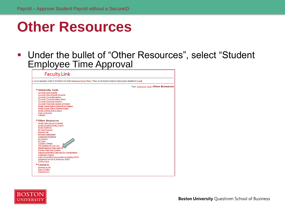### **Other Resources**

#### Under the bullet of "Other Resources", select "Student Employee Time Approval

**Faculty Link** you are agreeing to abide by the Boston University Information Security Policy. When you are finished using the system, please remember to Logoff. View: Instructor Tools | Other Resources *•* University Tools University Class Schedule University Class Schedule Download **University Course Descriptions** University Course Description Search University Final Exam Schedule University Final Exam Schedule Download Faculty Annual Report (Charles River Campus) Faculty Annual Report (Medical Campus) Faculty External Activity Report What's on the Link Calendars • Other Resources **Faculty Salary Review Comments** Faculty Assembly/Faculty Council **Faculty Handbook** My Grant Expenses **Business Link BUworks Central portal Courseware Information BU Libraries BU Today** Academic Calendar **UIS Mainframe File Services Student Employee Time Approval** Evaluate Work-Study Students **Engineering Research Experience for Undergraduates Compliance Tracking** Center for Excellence & Innovation in Teaching (CEIT) Information Services & Technology (IS&T) **IT Help Center** • Contacts Questions & Info **Report Problem Suggestion Box** 

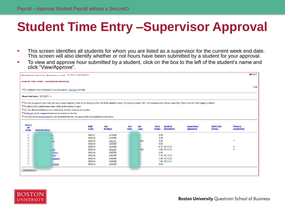### **Student Time Entry –Supervisor Approval**

- **This screen identifies all students for whom you are listed as a supervisor for the current week end date.** This screen will also identify whether or not hours have been submitted by a student for your approval.
- To view and approve hour submitted by a student, click on the box to the left of the student's name and click "View/Approve".

|                                                                                                                                                                                                                         | <b>Boston University Business Link Student Employment</b>                                                 |                              |                      |                    |                    |                              |                                    |                                      |                                   |                              | <b>Ed</b> logoff |  |
|-------------------------------------------------------------------------------------------------------------------------------------------------------------------------------------------------------------------------|-----------------------------------------------------------------------------------------------------------|------------------------------|----------------------|--------------------|--------------------|------------------------------|------------------------------------|--------------------------------------|-----------------------------------|------------------------------|------------------|--|
| STUDENT TIME ENTRY - SUPERVISOR APPROVAL                                                                                                                                                                                |                                                                                                           |                              |                      |                    |                    |                              |                                    |                                      |                                   |                              |                  |  |
|                                                                                                                                                                                                                         |                                                                                                           |                              |                      |                    |                    |                              |                                    |                                      |                                   |                              |                  |  |
| • If a student's name/information does not appear, click here for help.                                                                                                                                                 |                                                                                                           |                              |                      |                    |                    |                              |                                    |                                      |                                   |                              |                  |  |
| Week End Date: $02/15/2015$ $\sim$                                                                                                                                                                                      |                                                                                                           |                              |                      |                    |                    |                              |                                    |                                      |                                   |                              |                  |  |
| • To view or approve time entry for one or more students, click on the box(es) to the left of the student's name. (Clicking on select "All" will automatically choose entire list). Then click the View/Approve button. |                                                                                                           |                              |                      |                    |                    |                              |                                    |                                      |                                   |                              |                  |  |
| . To add or edit a student time entry, click on the student's name.                                                                                                                                                     |                                                                                                           |                              |                      |                    |                    |                              |                                    |                                      |                                   |                              |                  |  |
|                                                                                                                                                                                                                         | • To view the award balance of a work-study student, click on job number.                                 |                              |                      |                    |                    |                              |                                    |                                      |                                   |                              |                  |  |
|                                                                                                                                                                                                                         | <sup>•</sup> An Email can be composed and sent to students in the list.                                   |                              |                      |                    |                    |                              |                                    |                                      |                                   |                              |                  |  |
|                                                                                                                                                                                                                         | · This list can be downloaded as a tab-delimited text file, for import into a spreadsheet or text editor. |                              |                      |                    |                    |                              |                                    |                                      |                                   |                              |                  |  |
|                                                                                                                                                                                                                         |                                                                                                           |                              |                      |                    |                    |                              |                                    |                                      |                                   |                              |                  |  |
| <b>Select</b>                                                                                                                                                                                                           |                                                                                                           |                              |                      |                    |                    |                              |                                    |                                      |                                   |                              |                  |  |
| <b>All</b><br><b>None</b>                                                                                                                                                                                               | <b>Student Name</b>                                                                                       | <b>Mail</b><br>Code          | Job<br><b>Number</b> | <b>Job</b><br>Rate | Job<br><b>Type</b> | <b>Total</b><br><b>Hours</b> | <b>Student</b><br><b>Submitted</b> | <b>Supervisor</b><br><b>Approved</b> | <b>Mail Code</b><br><b>Status</b> | Primary<br><b>Supervisor</b> |                  |  |
|                                                                                                                                                                                                                         |                                                                                                           |                              |                      |                    |                    |                              |                                    |                                      |                                   |                              |                  |  |
| П                                                                                                                                                                                                                       |                                                                                                           | SMG17                        | A10200               |                    |                    | 0.00                         |                                    |                                      |                                   |                              |                  |  |
| $\Box$                                                                                                                                                                                                                  |                                                                                                           | <b>SMG40</b>                 | A53900               |                    |                    | 0.00                         |                                    |                                      |                                   |                              |                  |  |
| П                                                                                                                                                                                                                       |                                                                                                           | <b>SMG40</b>                 | 016705               |                    | WSP                | 0.00                         |                                    |                                      |                                   |                              |                  |  |
| $\blacksquare$<br>$\blacksquare$                                                                                                                                                                                        |                                                                                                           | <b>SMG40</b><br><b>SMG40</b> | A40200<br>A40200     |                    |                    | 0.00                         | 8.50 02/12/15                      |                                      |                                   |                              |                  |  |
|                                                                                                                                                                                                                         |                                                                                                           | <b>SMG40</b>                 | 901186               |                    | WSP                |                              | 4.00 02/12/15                      |                                      |                                   |                              |                  |  |
|                                                                                                                                                                                                                         | tefanie                                                                                                   | <b>SMG40</b>                 | A40200               |                    |                    | 0.00                         |                                    |                                      |                                   |                              |                  |  |
|                                                                                                                                                                                                                         | ozett                                                                                                     | <b>SMG40</b>                 | A40200               |                    |                    |                              | 3.50 02/12/15                      |                                      |                                   |                              |                  |  |
| $\Box$                                                                                                                                                                                                                  | <b>Imanuel</b>                                                                                            | <b>SMG40</b>                 | A40200               |                    |                    |                              | 3.00 02/12/15                      |                                      |                                   |                              |                  |  |
| $\Box$                                                                                                                                                                                                                  |                                                                                                           | <b>SMG40</b>                 | A40200               |                    |                    |                              | 7.00 02/11/15                      |                                      |                                   |                              |                  |  |
| $\Box$                                                                                                                                                                                                                  | Michelle                                                                                                  | <b>SMG40</b>                 | A40200               |                    |                    | 0.00                         |                                    |                                      |                                   |                              |                  |  |
|                                                                                                                                                                                                                         |                                                                                                           |                              |                      |                    |                    |                              |                                    |                                      |                                   |                              |                  |  |
| View/Approve                                                                                                                                                                                                            |                                                                                                           |                              |                      |                    |                    |                              |                                    |                                      |                                   |                              |                  |  |
|                                                                                                                                                                                                                         |                                                                                                           |                              |                      |                    |                    |                              |                                    |                                      |                                   |                              |                  |  |
|                                                                                                                                                                                                                         |                                                                                                           |                              |                      |                    |                    |                              |                                    |                                      |                                   |                              |                  |  |

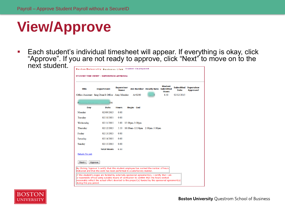## **View/Approve**

**Each student's individual timesheet will appear. If everything is okay, click** "Approve". If you are not ready to approve, click "Next" to move on to the next student.

| <b>Student Employment</b><br><b>Boston University Business Link</b><br>STUDENT TIME ENTRY - SUPERVISOR APPROVAL |                                                                                                                                                                                                                                                                                                     |                                  |                               |                                         |                                        |                                     |                 |  |  |
|-----------------------------------------------------------------------------------------------------------------|-----------------------------------------------------------------------------------------------------------------------------------------------------------------------------------------------------------------------------------------------------------------------------------------------------|----------------------------------|-------------------------------|-----------------------------------------|----------------------------------------|-------------------------------------|-----------------|--|--|
| <b>Title</b>                                                                                                    | <b>Department</b>                                                                                                                                                                                                                                                                                   | <b>Supervisor</b><br><b>Name</b> | A40200                        | <b>Job Number Hourly Rate Submitted</b> | <b>Student</b><br><b>Hours</b><br>8.50 | <b>Submitted Supervisor</b><br>Date | <b>Approved</b> |  |  |
|                                                                                                                 | Office Assistant Smg Dean'S Office Amy Mendez<br>PADANG, MICHELLE - U05060306                                                                                                                                                                                                                       |                                  |                               |                                         |                                        | 02/12/2015                          |                 |  |  |
| Day                                                                                                             | <b>Date</b>                                                                                                                                                                                                                                                                                         | <b>Hours</b>                     | <b>Begin - End</b>            |                                         |                                        |                                     |                 |  |  |
| Monday                                                                                                          | 02/09/2015                                                                                                                                                                                                                                                                                          | 0.00                             |                               |                                         |                                        |                                     |                 |  |  |
| Tuesday                                                                                                         | 02/10/2015                                                                                                                                                                                                                                                                                          | 0.00                             |                               |                                         |                                        |                                     |                 |  |  |
| Wednesday                                                                                                       | 02/11/2015                                                                                                                                                                                                                                                                                          | 3.00                             | $12:00$ pm-3:00pm             |                                         |                                        |                                     |                 |  |  |
| Thursday                                                                                                        | 02/12/2015                                                                                                                                                                                                                                                                                          | 5.50                             | 10:00am-12:30pm 2:00pm-5:00pm |                                         |                                        |                                     |                 |  |  |
| Friday                                                                                                          | 02/13/2015                                                                                                                                                                                                                                                                                          | 0.00                             |                               |                                         |                                        |                                     |                 |  |  |
| Saturday                                                                                                        | 02/14/2015                                                                                                                                                                                                                                                                                          | 0.00                             |                               |                                         |                                        |                                     |                 |  |  |
| Sunday                                                                                                          | 02/15/2015                                                                                                                                                                                                                                                                                          | 0.00                             |                               |                                         |                                        |                                     |                 |  |  |
|                                                                                                                 | <b>Total Hours</b>                                                                                                                                                                                                                                                                                  | 8.50                             |                               |                                         |                                        |                                     |                 |  |  |
| Return To List                                                                                                  |                                                                                                                                                                                                                                                                                                     |                                  |                               |                                         |                                        |                                     |                 |  |  |
| Next->                                                                                                          | Approve                                                                                                                                                                                                                                                                                             |                                  |                               |                                         |                                        |                                     |                 |  |  |
|                                                                                                                 | By Clicking 'Approve' I certify that this student employee has worked the number of hours<br>indicated and that the work has been performed in a satisfactory manner.                                                                                                                               |                                  |                               |                                         |                                        |                                     |                 |  |  |
| during this pay period.                                                                                         | If this student's wages are funded by externally sponsored agreement(s), I certify that I am<br>a responsible official using suitable means of verification to confirm that the hours worked<br>reasonably reflect the actual effort devoted to the project(s) funded by the sponsored agreement(s) |                                  |                               |                                         |                                        |                                     |                 |  |  |